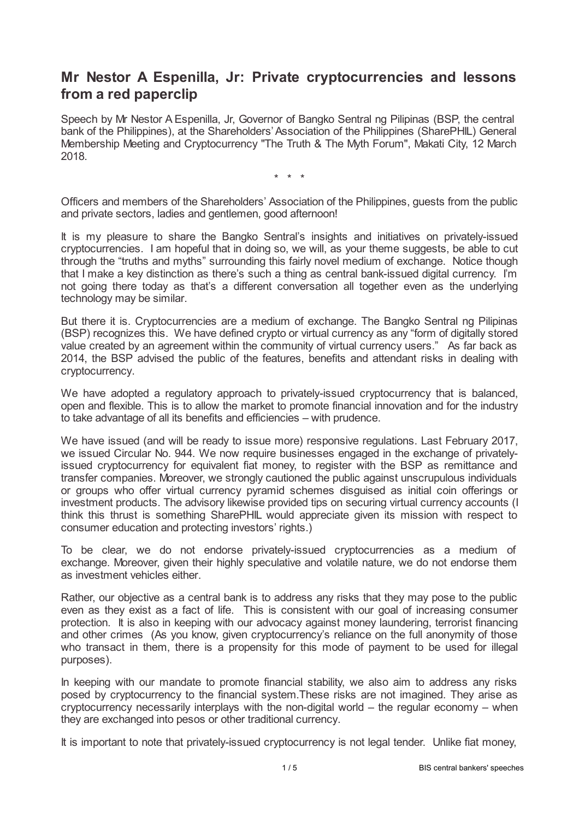# **Mr Nestor A Espenilla, Jr: Private cryptocurrencies and lessons from a red paperclip**

Speech by Mr Nestor A Espenilla, Jr, Governor of Bangko Sentral ng Pilipinas (BSP, the central bank of the Philippines), at the Shareholders' Association of the Philippines (SharePHIL) General Membership Meeting and Cryptocurrency "The Truth & The Myth Forum", Makati City, 12 March 2018.

\* \* \*

Officers and members of the Shareholders' Association of the Philippines, guests from the public and private sectors, ladies and gentlemen, good afternoon!

It is my pleasure to share the Bangko Sentral's insights and initiatives on privately-issued cryptocurrencies. I am hopeful that in doing so, we will, as your theme suggests, be able to cut through the "truths and myths" surrounding this fairly novel medium of exchange. Notice though that I make a key distinction as there's such a thing as central bank-issued digital currency. I'm not going there today as that's a different conversation all together even as the underlying technology may be similar.

But there it is. Cryptocurrencies are a medium of exchange. The Bangko Sentral ng Pilipinas (BSP) recognizes this. We have defined crypto or virtual currency as any "form of digitally stored value created by an agreement within the community of virtual currency users." As far back as 2014, the BSP advised the public of the features, benefits and attendant risks in dealing with cryptocurrency.

We have adopted a regulatory approach to privately-issued cryptocurrency that is balanced, open and flexible. This is to allow the market to promote financial innovation and for the industry to take advantage of all its benefits and efficiencies – with prudence.

We have issued (and will be ready to issue more) responsive regulations. Last February 2017, we issued Circular No. 944. We now require businesses engaged in the exchange of privatelyissued cryptocurrency for equivalent fiat money, to register with the BSP as remittance and transfer companies. Moreover, we strongly cautioned the public against unscrupulous individuals or groups who offer virtual currency pyramid schemes disguised as initial coin offerings or investment products. The advisory likewise provided tips on securing virtual currency accounts (I think this thrust is something SharePHIL would appreciate given its mission with respect to consumer education and protecting investors' rights.)

To be clear, we do not endorse privately-issued cryptocurrencies as a medium of exchange. Moreover, given their highly speculative and volatile nature, we do not endorse them as investment vehicles either.

Rather, our objective as a central bank is to address any risks that they may pose to the public even as they exist as a fact of life. This is consistent with our goal of increasing consumer protection. It is also in keeping with our advocacy against money laundering, terrorist financing and other crimes (As you know, given cryptocurrency's reliance on the full anonymity of those who transact in them, there is a propensity for this mode of payment to be used for illegal purposes).

In keeping with our mandate to promote financial stability, we also aim to address any risks posed by cryptocurrency to the financial system.These risks are not imagined. They arise as cryptocurrency necessarily interplays with the non-digital world – the regular economy – when they are exchanged into pesos or other traditional currency.

It is important to note that privately-issued cryptocurrency is not legal tender. Unlike fiat money,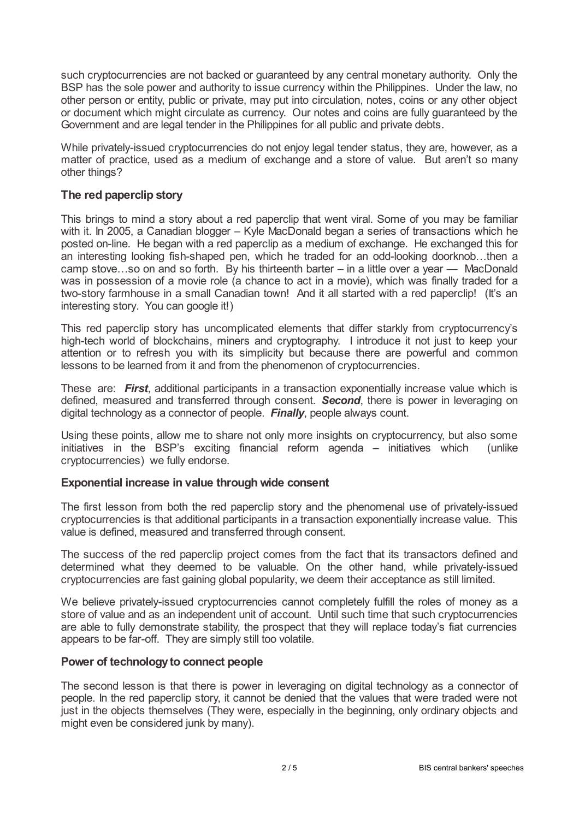such cryptocurrencies are not backed or guaranteed by any central monetary authority. Only the BSP has the sole power and authority to issue currency within the Philippines. Under the law, no other person or entity, public or private, may put into circulation, notes, coins or any other object or document which might circulate as currency. Our notes and coins are fully guaranteed by the Government and are legal tender in the Philippines for all public and private debts.

While privately-issued cryptocurrencies do not enjoy legal tender status, they are, however, as a matter of practice, used as a medium of exchange and a store of value. But aren't so many other things?

### **The red paperclip story**

This brings to mind a story about a red paperclip that went viral. Some of you may be familiar with it. In 2005, a Canadian blogger – Kyle MacDonald began a series of transactions which he posted on-line. He began with a red paperclip as a medium of exchange. He exchanged this for an interesting looking fish-shaped pen, which he traded for an odd-looking doorknob…then a camp stove…so on and so forth. By his thirteenth barter – in a little over a year — MacDonald was in possession of a movie role (a chance to act in a movie), which was finally traded for a two-story farmhouse in a small Canadian town! And it all started with a red paperclip! (It's an interesting story. You can google it!)

This red paperclip story has uncomplicated elements that differ starkly from cryptocurrency's high-tech world of blockchains, miners and cryptography. I introduce it not just to keep your attention or to refresh you with its simplicity but because there are powerful and common lessons to be learned from it and from the phenomenon of cryptocurrencies.

These are: *First*, additional participants in a transaction exponentially increase value which is defined, measured and transferred through consent. *Second*, there is power in leveraging on digital technology as a connector of people. *Finally*, people always count.

Using these points, allow me to share not only more insights on cryptocurrency, but also some initiatives in the BSP's exciting financial reform agenda – initiatives which (unlike cryptocurrencies) we fully endorse.

#### **Exponential increase in value through wide consent**

The first lesson from both the red paperclip story and the phenomenal use of privately-issued cryptocurrencies is that additional participants in a transaction exponentially increase value. This value is defined, measured and transferred through consent.

The success of the red paperclip project comes from the fact that its transactors defined and determined what they deemed to be valuable. On the other hand, while privately-issued cryptocurrencies are fast gaining global popularity, we deem their acceptance as still limited.

We believe privately-issued cryptocurrencies cannot completely fulfill the roles of money as a store of value and as an independent unit of account. Until such time that such cryptocurrencies are able to fully demonstrate stability, the prospect that they will replace today's fiat currencies appears to be far-off. They are simply still too volatile.

#### **Power of technologyto connect people**

The second lesson is that there is power in leveraging on digital technology as a connector of people. In the red paperclip story, it cannot be denied that the values that were traded were not just in the objects themselves (They were, especially in the beginning, only ordinary objects and might even be considered junk by many).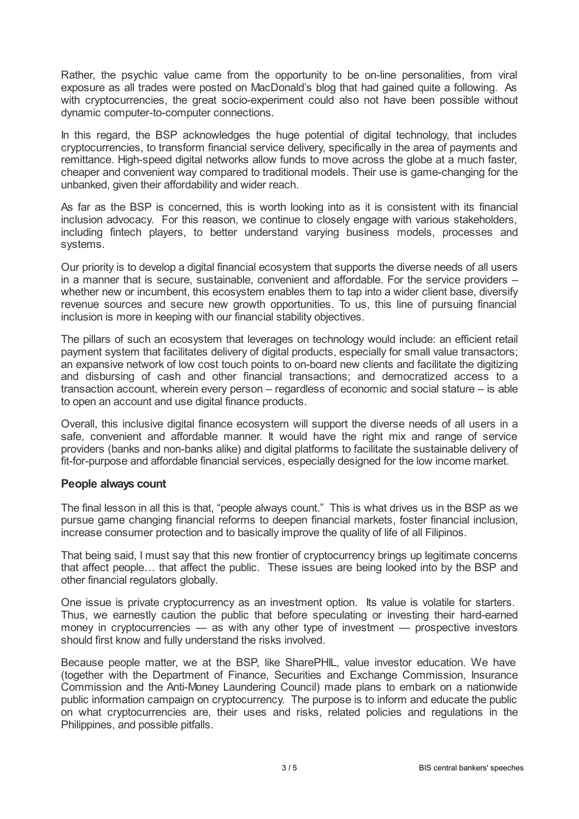Rather, the psychic value came from the opportunity to be on-line personalities, from viral exposure as all trades were posted on MacDonald's blog that had gained quite a following. As with cryptocurrencies, the great socio-experiment could also not have been possible without dynamic computer-to-computer connections.

In this regard, the BSP acknowledges the huge potential of digital technology, that includes cryptocurrencies, to transform financial service delivery, specifically in the area of payments and remittance. High-speed digital networks allow funds to move across the globe at a much faster, cheaper and convenient way compared to traditional models. Their use is game-changing for the unbanked, given their affordability and wider reach.

As far as the BSP is concerned, this is worth looking into as it is consistent with its financial inclusion advocacy. For this reason, we continue to closely engage with various stakeholders, including fintech players, to better understand varying business models, processes and systems.

Our priority is to develop a digital financial ecosystem that supports the diverse needs of all users in a manner that is secure, sustainable, convenient and affordable. For the service providers – whether new or incumbent, this ecosystem enables them to tap into a wider client base, diversify revenue sources and secure new growth opportunities. To us, this line of pursuing financial inclusion is more in keeping with our financial stability objectives.

The pillars of such an ecosystem that leverages on technology would include: an efficient retail payment system that facilitates delivery of digital products, especially for small value transactors; an expansive network of low cost touch points to on-board new clients and facilitate the digitizing and disbursing of cash and other financial transactions; and democratized access to a transaction account, wherein every person – regardless of economic and social stature – is able to open an account and use digital finance products.

Overall, this inclusive digital finance ecosystem will support the diverse needs of all users in a safe, convenient and affordable manner. It would have the right mix and range of service providers (banks and non-banks alike) and digital platforms to facilitate the sustainable delivery of fit-for-purpose and affordable financial services, especially designed for the low income market.

#### **People always count**

The final lesson in all this is that, "people always count." This is what drives us in the BSP as we pursue game changing financial reforms to deepen financial markets, foster financial inclusion, increase consumer protection and to basically improve the quality of life of all Filipinos.

That being said, I must say that this new frontier of cryptocurrency brings up legitimate concerns that affect people… that affect the public. These issues are being looked into by the BSP and other financial regulators globally.

One issue is private cryptocurrency as an investment option. Its value is volatile for starters. Thus, we earnestly caution the public that before speculating or investing their hard-earned money in cryptocurrencies — as with any other type of investment — prospective investors should first know and fully understand the risks involved.

Because people matter, we at the BSP, like SharePHIL, value investor education. We have (together with the Department of Finance, Securities and Exchange Commission, Insurance Commission and the Anti-Money Laundering Council) made plans to embark on a nationwide public information campaign on cryptocurrency. The purpose is to inform and educate the public on what cryptocurrencies are, their uses and risks, related policies and regulations in the Philippines, and possible pitfalls.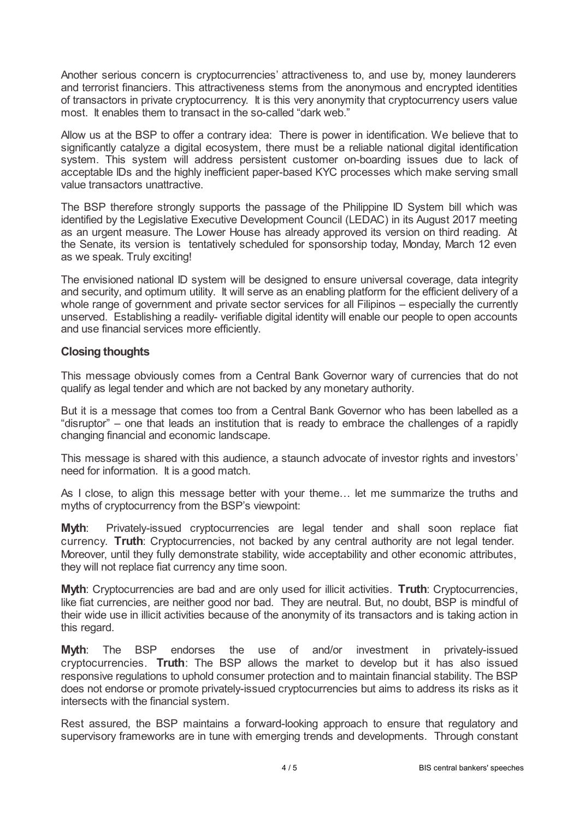Another serious concern is cryptocurrencies' attractiveness to, and use by, money launderers and terrorist financiers. This attractiveness stems from the anonymous and encrypted identities of transactors in private cryptocurrency. It is this very anonymity that cryptocurrency users value most. It enables them to transact in the so-called "dark web."

Allow us at the BSP to offer a contrary idea: There is power in identification. We believe that to significantly catalyze a digital ecosystem, there must be a reliable national digital identification system. This system will address persistent customer on-boarding issues due to lack of acceptable IDs and the highly inefficient paper-based KYC processes which make serving small value transactors unattractive.

The BSP therefore strongly supports the passage of the Philippine ID System bill which was identified by the Legislative Executive Development Council (LEDAC) in its August 2017 meeting as an urgent measure. The Lower House has already approved its version on third reading. At the Senate, its version is tentatively scheduled for sponsorship today, Monday, March 12 even as we speak. Truly exciting!

The envisioned national ID system will be designed to ensure universal coverage, data integrity and security, and optimum utility. It will serve as an enabling platform for the efficient delivery of a whole range of government and private sector services for all Filipinos – especially the currently unserved. Establishing a readily- verifiable digital identity will enable our people to open accounts and use financial services more efficiently.

## **Closing thoughts**

This message obviously comes from a Central Bank Governor wary of currencies that do not qualify as legal tender and which are not backed by any monetary authority.

But it is a message that comes too from a Central Bank Governor who has been labelled as a "disruptor" – one that leads an institution that is ready to embrace the challenges of a rapidly changing financial and economic landscape.

This message is shared with this audience, a staunch advocate of investor rights and investors' need for information. It is a good match.

As I close, to align this message better with your theme… let me summarize the truths and myths of cryptocurrency from the BSP's viewpoint:

**Myth**: Privately-issued cryptocurrencies are legal tender and shall soon replace fiat currency. **Truth**: Cryptocurrencies, not backed by any central authority are not legal tender. Moreover, until they fully demonstrate stability, wide acceptability and other economic attributes, they will not replace fiat currency any time soon.

**Myth**: Cryptocurrencies are bad and are only used for illicit activities. **Truth**: Cryptocurrencies, like fiat currencies, are neither good nor bad. They are neutral. But, no doubt, BSP is mindful of their wide use in illicit activities because of the anonymity of its transactors and is taking action in this regard.

**Myth**: The BSP endorses the use of and/or investment in privately-issued cryptocurrencies. **Truth**: The BSP allows the market to develop but it has also issued responsive regulations to uphold consumer protection and to maintain financial stability. The BSP does not endorse or promote privately-issued cryptocurrencies but aims to address its risks as it intersects with the financial system.

Rest assured, the BSP maintains a forward-looking approach to ensure that regulatory and supervisory frameworks are in tune with emerging trends and developments. Through constant